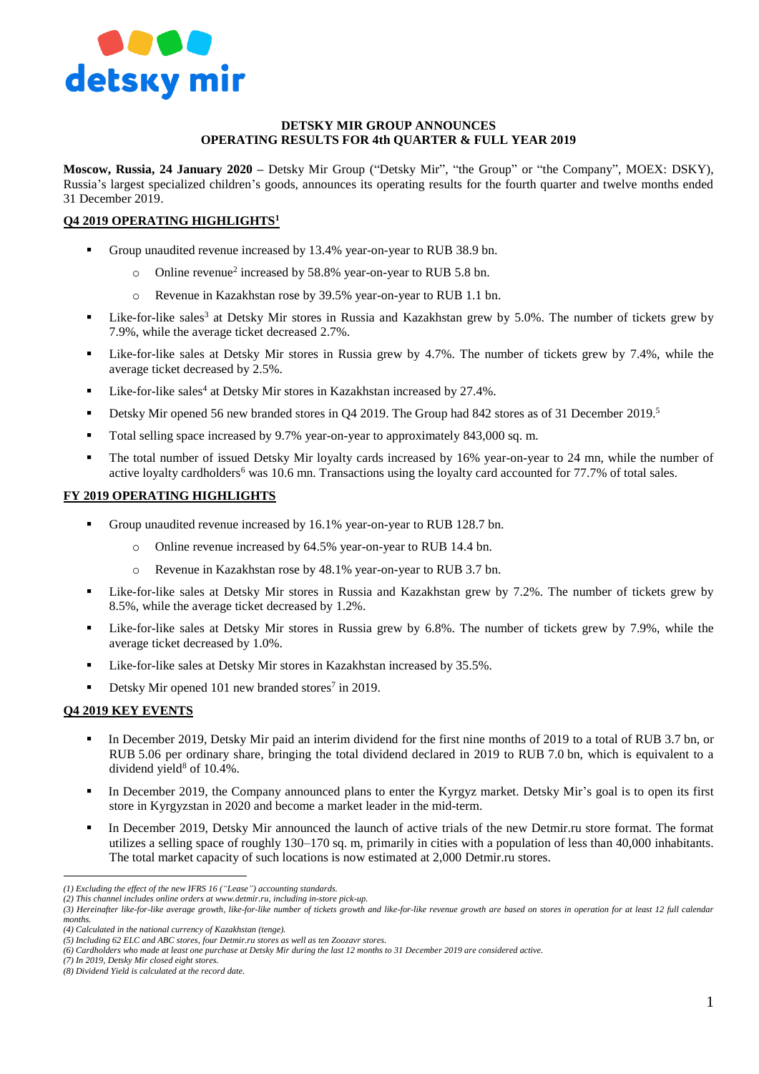

#### **DETSKY MIR GROUP ANNOUNCES OPERATING RESULTS FOR 4th QUARTER & FULL YEAR 2019**

**Moscow, Russia, 24 January 2020 –** Detsky Mir Group ("Detsky Mir", "the Group" or "the Company", MOEX: DSKY), Russia's largest specialized children's goods, announces its operating results for the fourth quarter and twelve months ended 31 December 2019.

# **Q4 2019 OPERATING HIGHLIGHTS<sup>1</sup>**

- Group unaudited revenue increased by 13.4% year-on-year to RUB 38.9 bn.
	- o Online revenue<sup>2</sup> increased by 58.8% year-on-year to RUB 5.8 bn.
	- o Revenue in Kazakhstan rose by 39.5% year-on-year to RUB 1.1 bn.
- Like-for-like sales<sup>3</sup> at Detsky Mir stores in Russia and Kazakhstan grew by 5.0%. The number of tickets grew by 7.9%, while the average ticket decreased 2.7%.
- Like-for-like sales at Detsky Mir stores in Russia grew by 4.7%. The number of tickets grew by 7.4%, while the average ticket decreased by 2.5%.
- Uike-for-like sales<sup>4</sup> at Detsky Mir stores in Kazakhstan increased by 27.4%.
- Detsky Mir opened 56 new branded stores in Q4 2019. The Group had 842 stores as of 31 December 2019.<sup>5</sup>
- Total selling space increased by 9.7% year-on-year to approximately 843,000 sq. m.
- The total number of issued Detsky Mir loyalty cards increased by 16% year-on-year to 24 mn, while the number of active loyalty cardholders<sup>6</sup> was 10.6 mn. Transactions using the loyalty card accounted for 77.7% of total sales.

# **FY 2019 OPERATING HIGHLIGHTS**

- Group unaudited revenue increased by 16.1% year-on-year to RUB 128.7 bn.
	- o Online revenue increased by 64.5% year-on-year to RUB 14.4 bn.
	- o Revenue in Kazakhstan rose by 48.1% year-on-year to RUB 3.7 bn.
- Like-for-like sales at Detsky Mir stores in Russia and Kazakhstan grew by 7.2%. The number of tickets grew by 8.5%, while the average ticket decreased by 1.2%.
- Like-for-like sales at Detsky Mir stores in Russia grew by 6.8%. The number of tickets grew by 7.9%, while the average ticket decreased by 1.0%.
- Like-for-like sales at Detsky Mir stores in Kazakhstan increased by 35.5%.
- Detsky Mir opened 101 new branded stores<sup>7</sup> in 2019.

# **Q4 2019 KEY EVENTS**

 $\overline{a}$ 

- In December 2019, Detsky Mir paid an interim dividend for the first nine months of 2019 to a total of RUB 3.7 bn, or RUB 5.06 per ordinary share, bringing the total dividend declared in 2019 to RUB 7.0 bn, which is equivalent to a dividend yield $8$  of 10.4%.
- In December 2019, the Company announced plans to enter the Kyrgyz market. Detsky Mir's goal is to open its first store in Kyrgyzstan in 2020 and become a market leader in the mid-term.
- In December 2019, Detsky Mir announced the launch of active trials of the new Detmir.ru store format. The format utilizes a selling space of roughly 130–170 sq. m, primarily in cities with a population of less than 40,000 inhabitants. The total market capacity of such locations is now estimated at 2,000 Detmir.ru stores.

*(7) In 2019, Detsky Mir closed eight stores.*

*<sup>(1)</sup> Excluding the effect of the new IFRS 16 ("Lease") accounting standards.* 

*<sup>(2)</sup> This channel includes online orders at [www.detmir.ru,](http://www.detmir.ru/) including in-store pick-up.*

*<sup>(3)</sup> Hereinafter like-for-like average growth, like-for-like number of tickets growth and like-for-like revenue growth are based on stores in operation for at least 12 full calendar months.*

*<sup>(4)</sup> Calculated in the national currency of Kazakhstan (tenge).*

*<sup>(5)</sup> Including 62 ELC and ABC stores, four Detmir.ru stores as well as ten Zoozavr stores.* 

*<sup>(6)</sup> Cardholders who made at least one purchase at Detsky Mir during the last 12 months to 31 December 2019 are considered active.* 

*<sup>(8)</sup> Dividend Yield is calculated at the record date.*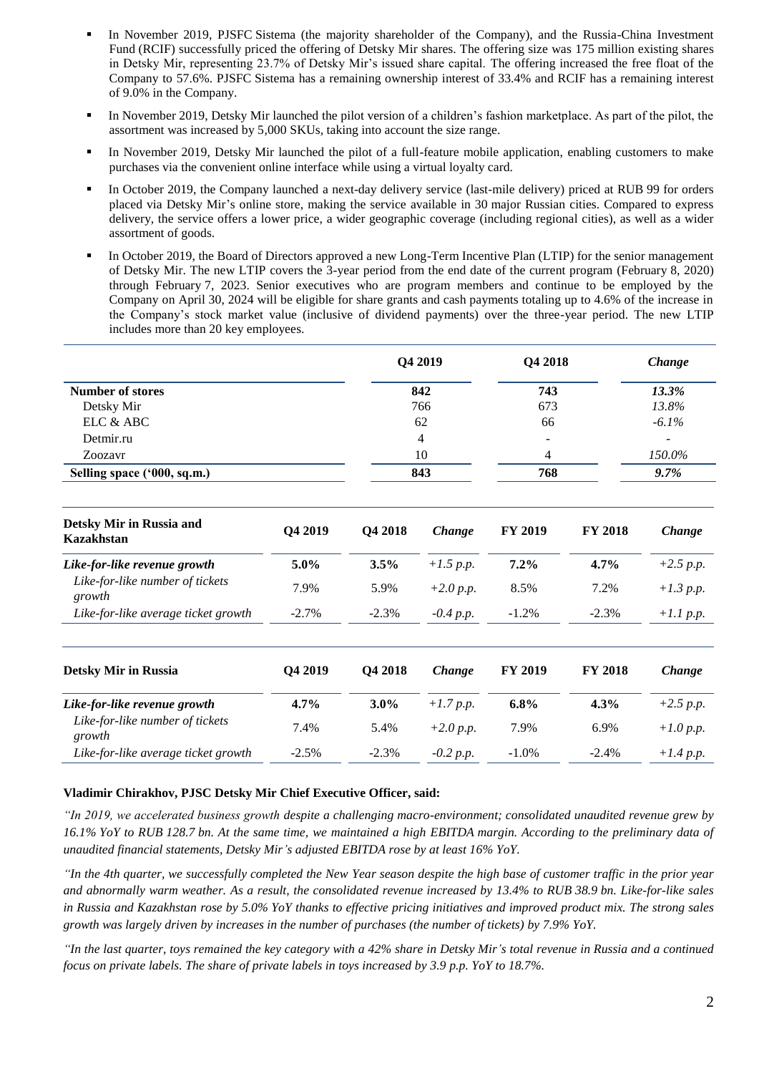- In November 2019, PJSFC Sistema (the majority shareholder of the Company), and the Russia-China Investment Fund (RCIF) successfully priced the offering of Detsky Mir shares. The offering size was 175 million existing shares in Detsky Mir, representing 23.7% of Detsky Mir's issued share capital. The offering increased the free float of the Company to 57.6%. PJSFC Sistema has a remaining ownership interest of 33.4% and RCIF has a remaining interest of 9.0% in the Company.
- In November 2019, Detsky Mir launched the pilot version of a children's fashion marketplace. As part of the pilot, the assortment was increased by 5,000 SKUs, taking into account the size range.
- In November 2019, Detsky Mir launched the pilot of a full-feature mobile application, enabling customers to make purchases via the convenient online interface while using a virtual loyalty card.
- In October 2019, the Company launched a next-day delivery service (last-mile delivery) priced at RUB 99 for orders placed via Detsky Mir's online store, making the service available in 30 major Russian cities. Compared to express delivery, the service offers a lower price, a wider geographic coverage (including regional cities), as well as a wider assortment of goods.
- In October 2019, the Board of Directors approved a new Long-Term Incentive Plan (LTIP) for the senior management of Detsky Mir. The new LTIP covers the 3-year period from the end date of the current program (February 8, 2020) through February 7, 2023. Senior executives who are program members and continue to be employed by the Company on April 30, 2024 will be eligible for share grants and cash payments totaling up to 4.6% of the increase in the Company's stock market value (inclusive of dividend payments) over the three-year period. The new LTIP includes more than 20 key employees.

|                                                 |                             | Q4 2019 |                                    | Q4 2018        |                                     | Change                                        |         |         |             |         |         |             |  |
|-------------------------------------------------|-----------------------------|---------|------------------------------------|----------------|-------------------------------------|-----------------------------------------------|---------|---------|-------------|---------|---------|-------------|--|
| <b>Number of stores</b>                         | 842<br>766<br>62<br>4<br>10 |         | 743<br>673<br>66<br>$\overline{4}$ |                | 13.3%<br>13.8%<br>$-6.1%$<br>150.0% |                                               |         |         |             |         |         |             |  |
| Detsky Mir<br>ELC & ABC<br>Detmir.ru<br>Zoozavr |                             |         |                                    |                |                                     |                                               |         |         |             |         |         |             |  |
|                                                 |                             |         |                                    |                |                                     | Selling space ('000, sq.m.)                   |         | 843     |             | 768     |         | 9.7%        |  |
|                                                 |                             |         |                                    |                |                                     | Detsky Mir in Russia and<br><b>Kazakhstan</b> | Q4 2019 | Q4 2018 | Change      | FY 2019 | FY 2018 | Change      |  |
|                                                 |                             |         |                                    |                |                                     | Like-for-like revenue growth                  | 5.0%    | 3.5%    | $+1.5 p.p.$ | 7.2%    | 4.7%    | $+2.5 p.p.$ |  |
| Like-for-like number of tickets<br>growth       | 7.9%                        | 5.9%    | $+2.0 p.p.$                        | 8.5%           | 7.2%                                | $+1.3 p.p.$                                   |         |         |             |         |         |             |  |
| Like-for-like average ticket growth             | $-2.7%$                     | $-2.3%$ | $-0.4 p.p.$                        | $-1.2%$        | $-2.3%$                             | $+1.1$ p.p.                                   |         |         |             |         |         |             |  |
| <b>Detsky Mir in Russia</b>                     | Q4 2019                     | Q4 2018 | Change                             | <b>FY 2019</b> | FY 2018                             | Change                                        |         |         |             |         |         |             |  |
| Like-for-like revenue growth                    | 4.7%                        | 3.0%    | $+1.7 p.p.$                        | 6.8%           | 4.3%                                | $+2.5 p.p.$                                   |         |         |             |         |         |             |  |
| Like-for-like number of tickets<br>growth       | 7.4%                        | 5.4%    | $+2.0 p.p.$                        | 7.9%           | 6.9%                                | $+1.0 p.p.$                                   |         |         |             |         |         |             |  |
| Like-for-like average ticket growth             | $-2.5%$                     | $-2.3%$ | $-0.2 p.p.$                        | $-1.0%$        | $-2.4%$                             | $+1.4 p.p.$                                   |         |         |             |         |         |             |  |

# **Vladimir Chirakhov, PJSC Detsky Mir Chief Executive Officer, said:**

*"In 2019, we accelerated business growth despite a challenging macro-environment; consolidated unaudited revenue grew by 16.1% YoY to RUB 128.7 bn. At the same time, we maintained a high EBITDA margin. According to the preliminary data of unaudited financial statements, Detsky Mir's adjusted EBITDA rose by at least 16% YoY.*

*"In the 4th quarter, we successfully completed the New Year season despite the high base of customer traffic in the prior year and abnormally warm weather. As a result, the consolidated revenue increased by 13.4% to RUB 38.9 bn. Like-for-like sales in Russia and Kazakhstan rose by 5.0% YoY thanks to effective pricing initiatives and improved product mix. The strong sales growth was largely driven by increases in the number of purchases (the number of tickets) by 7.9% YoY.*

*"In the last quarter, toys remained the key category with a 42% share in Detsky Mir's total revenue in Russia and a continued focus on private labels. The share of private labels in toys increased by 3.9 p.p. YoY to 18.7%.*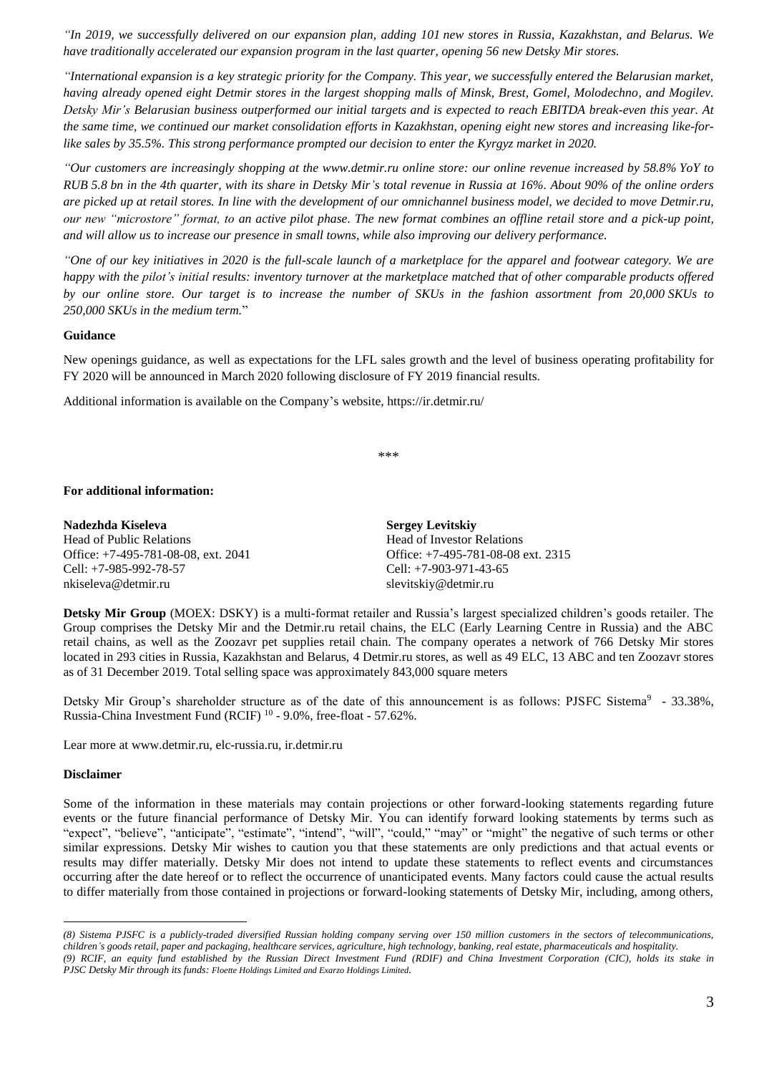*"In 2019, we successfully delivered on our expansion plan, adding 101 new stores in Russia, Kazakhstan, and Belarus. We have traditionally accelerated our expansion program in the last quarter, opening 56 new Detsky Mir stores.* 

*"International expansion is a key strategic priority for the Company. This year, we successfully entered the Belarusian market, having already opened eight Detmir stores in the largest shopping malls of Minsk, Brest, Gomel, Molodechno, and Mogilev. Detsky Mir's Belarusian business outperformed our initial targets and is expected to reach EBITDA break-even this year. At the same time, we continued our market consolidation efforts in Kazakhstan, opening eight new stores and increasing like-forlike sales by 35.5%. This strong performance prompted our decision to enter the Kyrgyz market in 2020.*

*"Our customers are increasingly shopping at the www.detmir.ru online store: our online revenue increased by 58.8% YoY to RUB 5.8 bn in the 4th quarter, with its share in Detsky Mir's total revenue in Russia at 16%. About 90% of the online orders are picked up at retail stores. In line with the development of our omnichannel business model, we decided to move Detmir.ru, our new "microstore" format, to an active pilot phase. The new format combines an offline retail store and a pick-up point, and will allow us to increase our presence in small towns, while also improving our delivery performance.*

*"One of our key initiatives in 2020 is the full-scale launch of a marketplace for the apparel and footwear category. We are happy with the pilot's initial results: inventory turnover at the marketplace matched that of other comparable products offered by our online store. Our target is to increase the number of SKUs in the fashion assortment from 20,000 SKUs to 250,000 SKUs in the medium term.*"

# **Guidance**

New openings guidance, as well as expectations for the LFL sales growth and the level of business operating profitability for FY 2020 will be announced in March 2020 following disclosure of FY 2019 financial results.

Additional information is available on the Company's website, https://ir.detmir.ru/

\*\*\*

#### **For additional information:**

| Nadezhda Kiseleva                      | <b>Sergey Levitskiy</b>              |
|----------------------------------------|--------------------------------------|
| Head of Public Relations               | <b>Head of Investor Relations</b>    |
| Office: $+7-495-781-08-08$ , ext. 2041 | Office: $+7-495-781-08-08$ ext. 2315 |
| Cell: $+7-985-992-78-57$               | Cell: $+7-903-971-43-65$             |
| nkiseleva@detmir.ru                    | slevitskiy@detmir.ru                 |

**Detsky Mir Group** (MOEX: DSKY) is a multi-format retailer and Russia's largest specialized children's goods retailer. The Group comprises the Detsky Mir and the Detmir.ru retail chains, the ELC (Early Learning Centre in Russia) and the ABC retail chains, as well as the Zoozavr pet supplies retail chain. The company operates a network of 766 Detsky Mir stores located in 293 cities in Russia, Kazakhstan and Belarus, 4 Detmir.ru stores, as well as 49 ELC, 13 ABC and ten Zoozavr stores as of 31 December 2019. Total selling space was approximately 843,000 square meters

Detsky Mir Group's shareholder structure as of the date of this announcement is as follows: PJSFC Sistema<sup>9</sup> - 33.38%, Russia-China Investment Fund (RCIF)<sup>10</sup> - 9.0%, free-float - 57.62%.

Lear more at www.detmir.ru, elc-russia.ru, ir.detmir.ru

#### **Disclaimer**

 $\overline{a}$ 

Some of the information in these materials may contain projections or other forward-looking statements regarding future events or the future financial performance of Detsky Mir. You can identify forward looking statements by terms such as "expect", "believe", "anticipate", "estimate", "intend", "will", "could," "may" or "might" the negative of such terms or other similar expressions. Detsky Mir wishes to caution you that these statements are only predictions and that actual events or results may differ materially. Detsky Mir does not intend to update these statements to reflect events and circumstances occurring after the date hereof or to reflect the occurrence of unanticipated events. Many factors could cause the actual results to differ materially from those contained in projections or forward-looking statements of Detsky Mir, including, among others,

*<sup>(8)</sup> Sistema PJSFC is a publicly-traded diversified Russian holding company serving over 150 million customers in the sectors of telecommunications, children's goods retail, paper and packaging, healthcare services, agriculture, high technology, banking, real estate, pharmaceuticals and hospitality. (9) RCIF, an equity fund established by the Russian Direct Investment Fund (RDIF) and China Investment Corporation (CIC), holds its stake in* 

*PJSC Detsky Mir through its funds: Floette Holdings Limited and Exarzo Holdings Limited.*